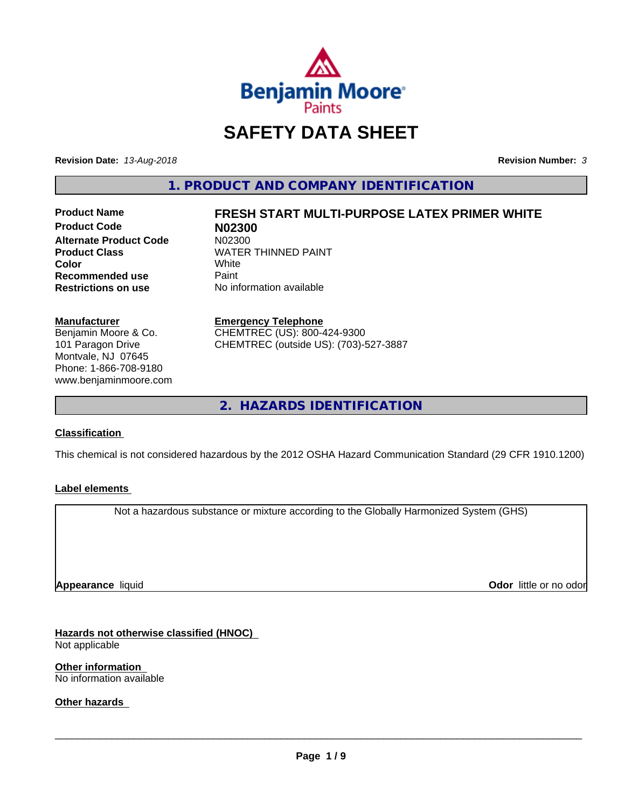

# **SAFETY DATA SHEET**

**Revision Date:** *13-Aug-2018* **Revision Number:** *3*

**1. PRODUCT AND COMPANY IDENTIFICATION**

**Product Code N02300 Alternate Product Code**<br>Product Class **Recommended use** Paint<br> **Restrictions on use** No inf

# **Product Name FRESH START MULTI-PURPOSE LATEX PRIMER WHITE**

**WATER THINNED PAINT**<br>White **Color** White White **No information available** 

#### **Manufacturer**

Benjamin Moore & Co. 101 Paragon Drive Montvale, NJ 07645 Phone: 1-866-708-9180 www.benjaminmoore.com

## **Emergency Telephone**

CHEMTREC (US): 800-424-9300 CHEMTREC (outside US): (703)-527-3887

**2. HAZARDS IDENTIFICATION**

#### **Classification**

This chemical is not considered hazardous by the 2012 OSHA Hazard Communication Standard (29 CFR 1910.1200)

#### **Label elements**

Not a hazardous substance or mixture according to the Globally Harmonized System (GHS)

**Appearance** liquid

**Odor** little or no odor

**Hazards not otherwise classified (HNOC)** Not applicable

**Other information** No information available

**Other hazards**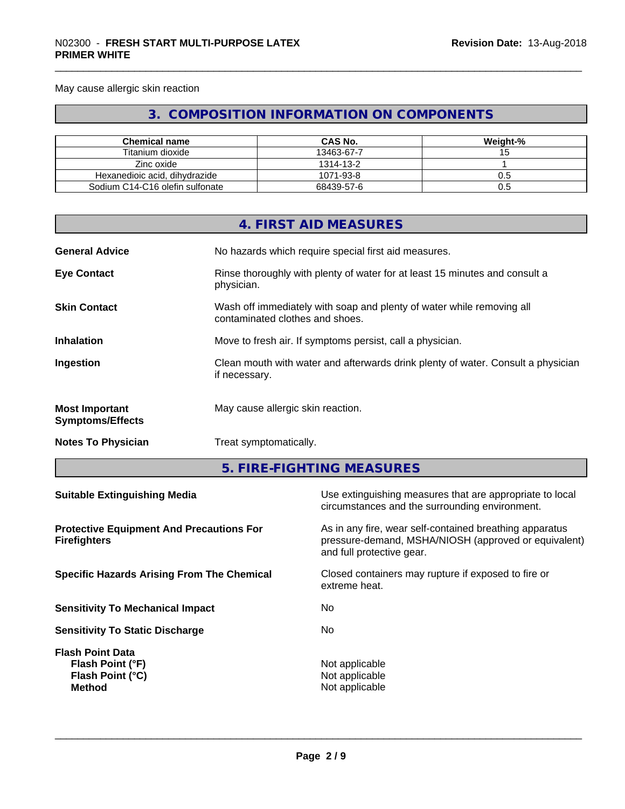May cause allergic skin reaction

# **3. COMPOSITION INFORMATION ON COMPONENTS**

| <b>Chemical name</b>            | <b>CAS No.</b> | Weight-% |
|---------------------------------|----------------|----------|
| Titanium dioxide                | 13463-67-7     |          |
| Zinc oxide                      | 1314-13-2      |          |
| Hexanedioic acid, dihydrazide   | 1071-93-8      |          |
| Sodium C14-C16 olefin sulfonate | 68439-57-6     | U.5      |

|                                                                                                            |               | 4. FIRST AID MEASURES                                                                                      |  |  |
|------------------------------------------------------------------------------------------------------------|---------------|------------------------------------------------------------------------------------------------------------|--|--|
| <b>General Advice</b>                                                                                      |               | No hazards which require special first aid measures.                                                       |  |  |
| <b>Eye Contact</b>                                                                                         | physician.    | Rinse thoroughly with plenty of water for at least 15 minutes and consult a                                |  |  |
| <b>Skin Contact</b>                                                                                        |               | Wash off immediately with soap and plenty of water while removing all<br>contaminated clothes and shoes.   |  |  |
| <b>Inhalation</b>                                                                                          |               | Move to fresh air. If symptoms persist, call a physician.                                                  |  |  |
| Ingestion                                                                                                  | if necessary. | Clean mouth with water and afterwards drink plenty of water. Consult a physician                           |  |  |
| <b>Most Important</b><br><b>Symptoms/Effects</b>                                                           |               | May cause allergic skin reaction.                                                                          |  |  |
| <b>Notes To Physician</b>                                                                                  |               | Treat symptomatically.                                                                                     |  |  |
|                                                                                                            |               | 5. FIRE-FIGHTING MEASURES                                                                                  |  |  |
| <b>Suitable Extinguishing Media</b>                                                                        |               | Use extinguishing measures that are appropriate to local<br>circumstances and the surrounding environment. |  |  |
| As in any fire, wear self-contained breathing apparatus<br><b>Protective Equipment And Precautions For</b> |               |                                                                                                            |  |  |

**Protective Equipment And Precautions For Firefighters**

**Specific Hazards Arising From The Chemical Closed containers may rupture if exposed to fire or** 

**Sensitivity To Mechanical Impact** No

**Sensitivity To Static Discharge** No

**Flash Point Data Flash Point (°F)**<br> **Flash Point (°C)**<br> **Flash Point (°C)**<br> **C Flash Point (°C)**<br>Method

and full protective gear.

pressure-demand, MSHA/NIOSH (approved or equivalent)

extreme heat.

**Not applicable**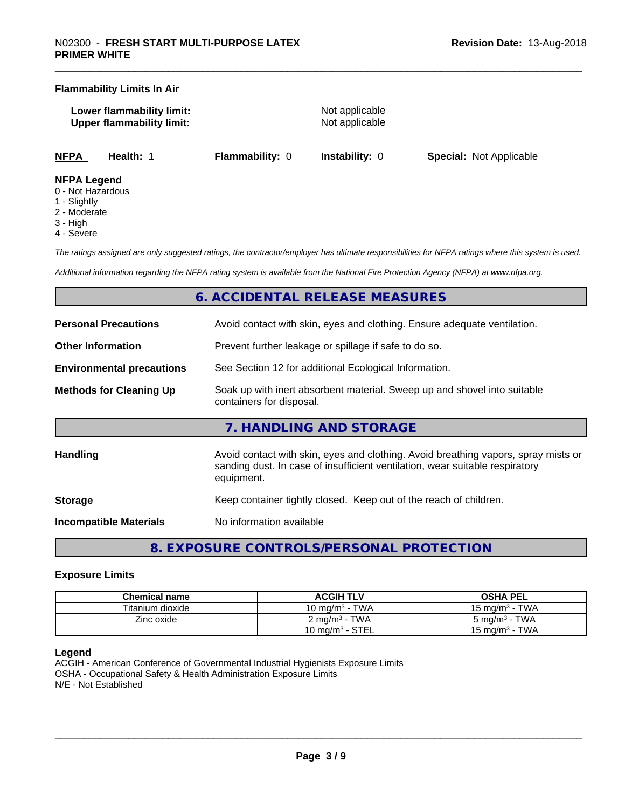#### **Flammability Limits In Air**

**Lower flammability limit:** Not applicable **Upper flammability limit:** Not applicable

**NFPA Health:** 1 **Flammability:** 0 **Instability:** 0 **Special:** Not Applicable

#### **NFPA Legend**

- 0 Not Hazardous
- 1 Slightly
- 2 Moderate
- 3 High
- 4 Severe

*The ratings assigned are only suggested ratings, the contractor/employer has ultimate responsibilities for NFPA ratings where this system is used.*

*Additional information regarding the NFPA rating system is available from the National Fire Protection Agency (NFPA) at www.nfpa.org.*

## **6. ACCIDENTAL RELEASE MEASURES**

| <b>Personal Precautions</b>      | Avoid contact with skin, eyes and clothing. Ensure adequate ventilation.                                                                                                         |  |  |
|----------------------------------|----------------------------------------------------------------------------------------------------------------------------------------------------------------------------------|--|--|
| <b>Other Information</b>         | Prevent further leakage or spillage if safe to do so.                                                                                                                            |  |  |
| <b>Environmental precautions</b> | See Section 12 for additional Ecological Information.                                                                                                                            |  |  |
| <b>Methods for Cleaning Up</b>   | Soak up with inert absorbent material. Sweep up and shovel into suitable<br>containers for disposal.                                                                             |  |  |
|                                  | 7. HANDLING AND STORAGE                                                                                                                                                          |  |  |
| <b>Handling</b>                  | Avoid contact with skin, eyes and clothing. Avoid breathing vapors, spray mists or<br>sanding dust. In case of insufficient ventilation, wear suitable respiratory<br>equipment. |  |  |
| <b>Storage</b>                   | Keep container tightly closed. Keep out of the reach of children.                                                                                                                |  |  |
| <b>Incompatible Materials</b>    | No information available                                                                                                                                                         |  |  |

**8. EXPOSURE CONTROLS/PERSONAL PROTECTION**

#### **Exposure Limits**

| Chemical name    | <b>ACGIH TLV</b>           | <b>OSHA PEL</b>                 |  |
|------------------|----------------------------|---------------------------------|--|
| Titanium dioxide | 10 mg/m $3$ - TWA          | - TWA<br>15 mg/m <sup>3</sup> - |  |
| Zinc oxide       | $2 \text{ mg/m}^3$ - TWA   | 5 mg/m <sup>3</sup> - TWA       |  |
|                  | $10 \text{ mg/m}^3$ - STEL | 15 mg/m $3$ - TWA               |  |

#### **Legend**

ACGIH - American Conference of Governmental Industrial Hygienists Exposure Limits OSHA - Occupational Safety & Health Administration Exposure Limits N/E - Not Established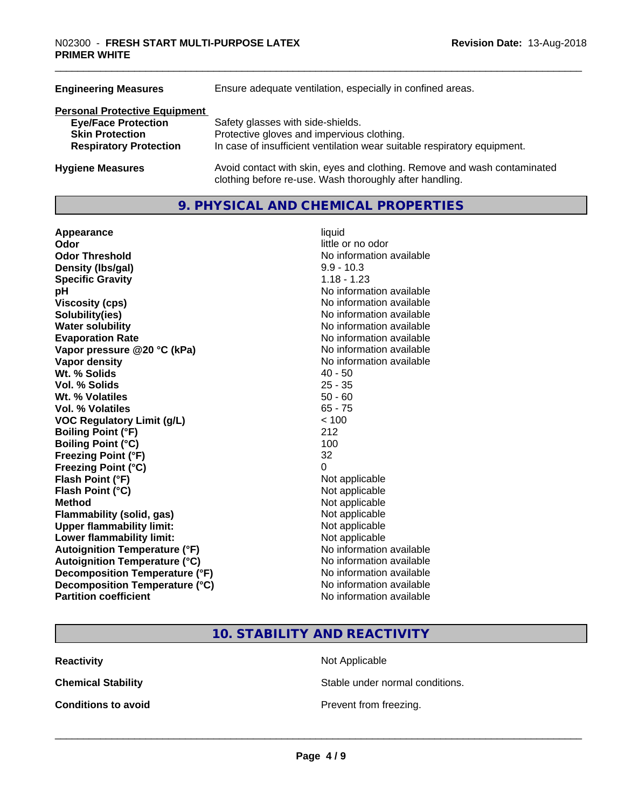| <b>Engineering Measures</b>                                                                                                   | Ensure adequate ventilation, especially in confined areas.                                                                                                  |
|-------------------------------------------------------------------------------------------------------------------------------|-------------------------------------------------------------------------------------------------------------------------------------------------------------|
| <b>Personal Protective Equipment</b><br><b>Eye/Face Protection</b><br><b>Skin Protection</b><br><b>Respiratory Protection</b> | Safety glasses with side-shields.<br>Protective gloves and impervious clothing.<br>In case of insufficient ventilation wear suitable respiratory equipment. |
| <b>Hygiene Measures</b>                                                                                                       | Avoid contact with skin, eyes and clothing. Remove and wash contaminated<br>clothing before re-use. Wash thoroughly after handling.                         |

#### **9. PHYSICAL AND CHEMICAL PROPERTIES**

| Appearance                           | liquid                   |
|--------------------------------------|--------------------------|
| Odor                                 | little or no odor        |
| <b>Odor Threshold</b>                | No information available |
| Density (Ibs/gal)                    | $9.9 - 10.3$             |
| <b>Specific Gravity</b>              | $1.18 - 1.23$            |
| pH                                   | No information available |
| <b>Viscosity (cps)</b>               | No information available |
| Solubility(ies)                      | No information available |
| <b>Water solubility</b>              | No information available |
| <b>Evaporation Rate</b>              | No information available |
| Vapor pressure @20 °C (kPa)          | No information available |
| <b>Vapor density</b>                 | No information available |
| Wt. % Solids                         | $40 - 50$                |
| Vol. % Solids                        | $25 - 35$                |
| Wt. % Volatiles                      | $50 - 60$                |
| Vol. % Volatiles                     | $65 - 75$                |
| <b>VOC Regulatory Limit (g/L)</b>    | < 100                    |
| <b>Boiling Point (°F)</b>            | 212                      |
| <b>Boiling Point (°C)</b>            | 100                      |
| <b>Freezing Point (°F)</b>           | 32                       |
| <b>Freezing Point (°C)</b>           | 0                        |
| Flash Point (°F)                     | Not applicable           |
| Flash Point (°C)                     | Not applicable           |
| <b>Method</b>                        | Not applicable           |
| <b>Flammability (solid, gas)</b>     | Not applicable           |
| <b>Upper flammability limit:</b>     | Not applicable           |
| Lower flammability limit:            | Not applicable           |
| <b>Autoignition Temperature (°F)</b> | No information available |
| <b>Autoignition Temperature (°C)</b> | No information available |
| Decomposition Temperature (°F)       | No information available |
| Decomposition Temperature (°C)       | No information available |
| <b>Partition coefficient</b>         | No information available |

# little or no odor **No information available No information available Viscosity (cps)** No information available **No information available No information available Evaporation Rate** No information available **No information available No information available**<br>40 - 50 **Not applicable Not applicable Not applicable Flammability (solid, gas)** Not applicable **Not applicable Not applicable No information available Autoignition Temperature (°C)** No information available **No information available No information available No information available**

# **10. STABILITY AND REACTIVITY**

**Reactivity** Not Applicable

**Chemical Stability Stable under normal conditions.** 

**Conditions to avoid Conditions to avoid Prevent from freezing.**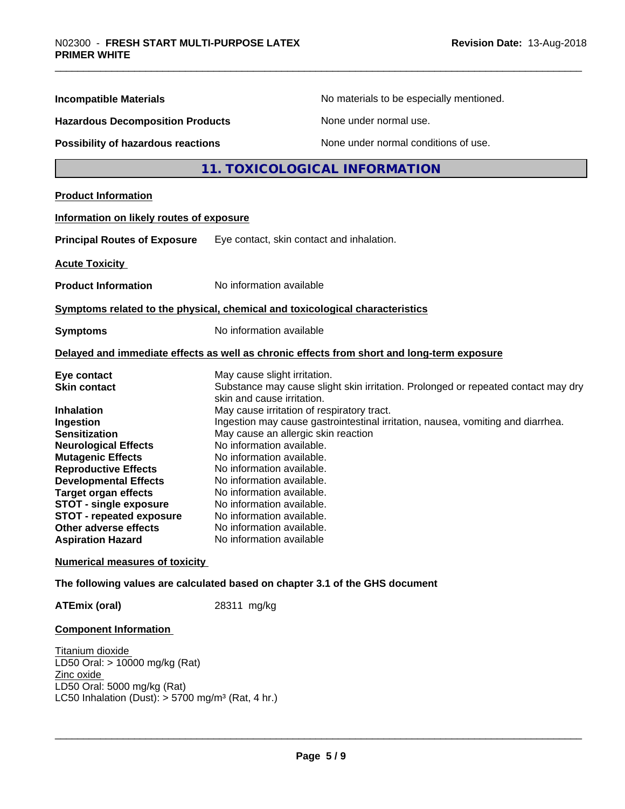| <b>Incompatible Materials</b>                               | No materials to be especially mentioned.                                                                        |
|-------------------------------------------------------------|-----------------------------------------------------------------------------------------------------------------|
| <b>Hazardous Decomposition Products</b>                     | None under normal use.                                                                                          |
| Possibility of hazardous reactions                          | None under normal conditions of use.                                                                            |
|                                                             | 11. TOXICOLOGICAL INFORMATION                                                                                   |
| <b>Product Information</b>                                  |                                                                                                                 |
| Information on likely routes of exposure                    |                                                                                                                 |
| <b>Principal Routes of Exposure</b>                         | Eye contact, skin contact and inhalation.                                                                       |
| <b>Acute Toxicity</b>                                       |                                                                                                                 |
| <b>Product Information</b>                                  | No information available                                                                                        |
|                                                             | Symptoms related to the physical, chemical and toxicological characteristics                                    |
| <b>Symptoms</b>                                             | No information available                                                                                        |
|                                                             | Delayed and immediate effects as well as chronic effects from short and long-term exposure                      |
| Eye contact                                                 | May cause slight irritation.                                                                                    |
| <b>Skin contact</b>                                         | Substance may cause slight skin irritation. Prolonged or repeated contact may dry<br>skin and cause irritation. |
| <b>Inhalation</b>                                           | May cause irritation of respiratory tract.                                                                      |
| Ingestion                                                   | Ingestion may cause gastrointestinal irritation, nausea, vomiting and diarrhea.                                 |
| <b>Sensitization</b>                                        | May cause an allergic skin reaction                                                                             |
| <b>Neurological Effects</b>                                 | No information available.                                                                                       |
| <b>Mutagenic Effects</b>                                    | No information available.<br>No information available.                                                          |
| <b>Reproductive Effects</b>                                 | No information available.                                                                                       |
| <b>Developmental Effects</b><br><b>Target organ effects</b> | No information available.                                                                                       |
| <b>STOT - single exposure</b>                               | No information available.                                                                                       |
| <b>STOT - repeated exposure</b>                             | No information available.                                                                                       |
| Other adverse effects                                       | No information available.                                                                                       |
| <b>Aspiration Hazard</b>                                    | No information available                                                                                        |
| <b>Numerical measures of toxicity</b>                       |                                                                                                                 |
|                                                             | The following values are calculated based on chapter 3.1 of the GHS document                                    |
| <b>ATEmix (oral)</b>                                        | 28311 mg/kg                                                                                                     |
| <b>Component Information</b>                                |                                                                                                                 |
| Titanium dioxide                                            |                                                                                                                 |
| LD50 Oral: > 10000 mg/kg (Rat)<br>Zinc oxide                |                                                                                                                 |
|                                                             |                                                                                                                 |

LD50 Oral: 5000 mg/kg (Rat) LC50 Inhalation (Dust): > 5700 mg/m³ (Rat, 4 hr.)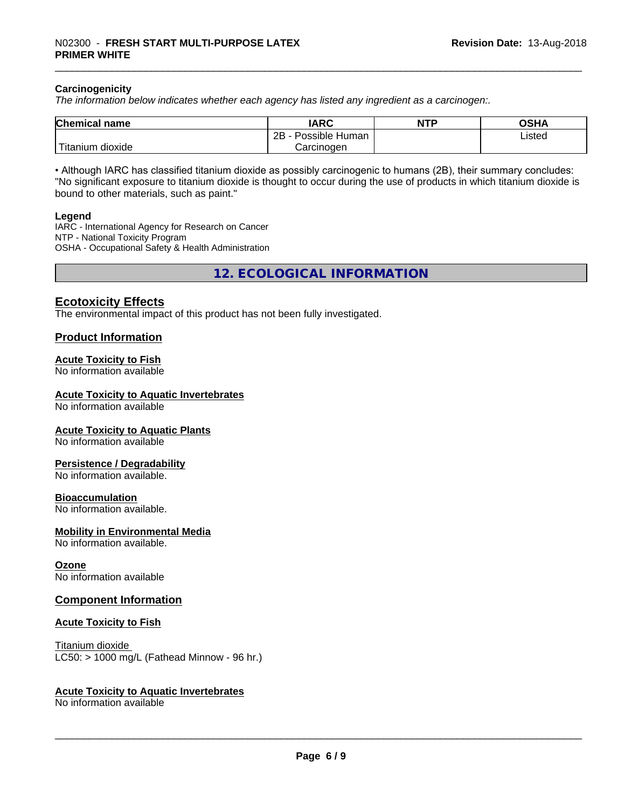#### **Carcinogenicity**

*The information below indicateswhether each agency has listed any ingredient as a carcinogen:.*

| <b>Chemical name</b>                    | <b>IARC</b>                    | <b>NTP</b> | ៱ເມ∧<br>שטש |
|-----------------------------------------|--------------------------------|------------|-------------|
|                                         | .<br>2B<br>-<br>Possible Human |            | Listed      |
| بالمواقعة المراد<br>dioxide<br>Titanium | Carcinogen                     |            |             |

• Although IARC has classified titanium dioxide as possibly carcinogenic to humans (2B), their summary concludes: "No significant exposure to titanium dioxide is thought to occur during the use of products in which titanium dioxide is bound to other materials, such as paint."

#### **Legend**

IARC - International Agency for Research on Cancer NTP - National Toxicity Program OSHA - Occupational Safety & Health Administration

**12. ECOLOGICAL INFORMATION**

#### **Ecotoxicity Effects**

The environmental impact of this product has not been fully investigated.

#### **Product Information**

#### **Acute Toxicity to Fish**

No information available

#### **Acute Toxicity to Aquatic Invertebrates**

No information available

#### **Acute Toxicity to Aquatic Plants**

No information available

#### **Persistence / Degradability**

No information available.

#### **Bioaccumulation**

No information available.

#### **Mobility in Environmental Media**

No information available.

#### **Ozone**

No information available

#### **Component Information**

#### **Acute Toxicity to Fish**

Titanium dioxide  $LC50:$  > 1000 mg/L (Fathead Minnow - 96 hr.)

#### **Acute Toxicity to Aquatic Invertebrates**

No information available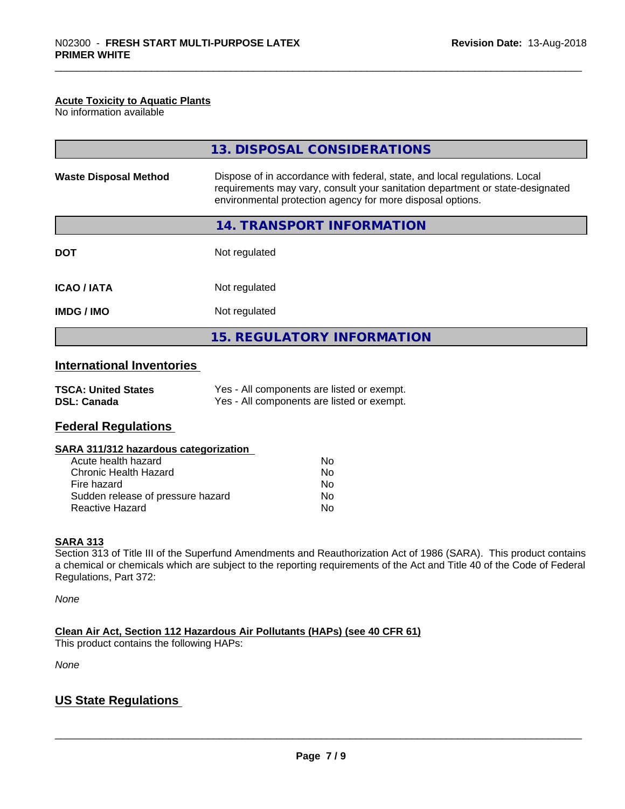#### **Acute Toxicity to Aquatic Plants**

No information available

|                              | 13. DISPOSAL CONSIDERATIONS                                                                                                                                                                                               |  |
|------------------------------|---------------------------------------------------------------------------------------------------------------------------------------------------------------------------------------------------------------------------|--|
| <b>Waste Disposal Method</b> | Dispose of in accordance with federal, state, and local regulations. Local<br>requirements may vary, consult your sanitation department or state-designated<br>environmental protection agency for more disposal options. |  |
|                              | 14. TRANSPORT INFORMATION                                                                                                                                                                                                 |  |
| <b>DOT</b>                   | Not regulated                                                                                                                                                                                                             |  |
| <b>ICAO / IATA</b>           | Not regulated                                                                                                                                                                                                             |  |
| <b>IMDG/IMO</b>              | Not regulated                                                                                                                                                                                                             |  |
|                              | <b>15. REGULATORY INFORMATION</b>                                                                                                                                                                                         |  |

#### **International Inventories**

| <b>TSCA: United States</b> | Yes - All components are listed or exempt. |
|----------------------------|--------------------------------------------|
| <b>DSL: Canada</b>         | Yes - All components are listed or exempt. |

#### **Federal Regulations**

#### **SARA 311/312 hazardous categorization**

| Acute health hazard               | Nο |
|-----------------------------------|----|
| Chronic Health Hazard             | Nο |
| Fire hazard                       | Nο |
| Sudden release of pressure hazard | Nο |
| Reactive Hazard                   | N٥ |

#### **SARA 313**

Section 313 of Title III of the Superfund Amendments and Reauthorization Act of 1986 (SARA). This product contains a chemical or chemicals which are subject to the reporting requirements of the Act and Title 40 of the Code of Federal Regulations, Part 372:

*None*

**Clean Air Act,Section 112 Hazardous Air Pollutants (HAPs) (see 40 CFR 61)**

This product contains the following HAPs:

*None*

## **US State Regulations**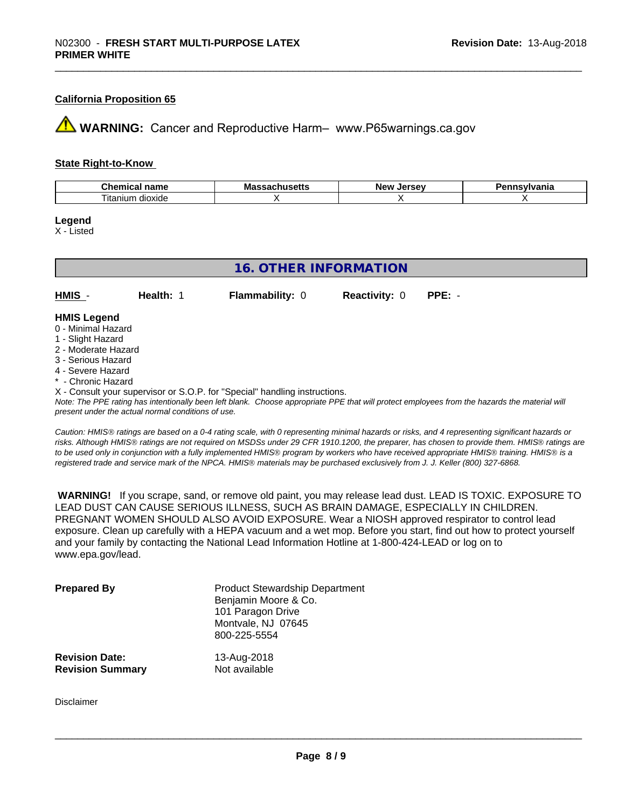#### **California Proposition 65**

**A** WARNING: Cancer and Reproductive Harm– www.P65warnings.ca.gov

#### **State Right-to-Know**

| .<br>$\mathsf{u}$ nem<br>name<br>''''''' | פתח<br>шa<br>บแนวចแฉ | אומ<br>$-1$ | vlvania |
|------------------------------------------|----------------------|-------------|---------|
| $- \cdot$ .<br>dioxide<br>anıun<br>ıtaı  |                      |             |         |

**Legend**

X - Listed

| <b>16. OTHER INFORMATION</b>                                                                                                                          |                                                    |                                                                            |                      |                                                                                                                                                 |  |  |
|-------------------------------------------------------------------------------------------------------------------------------------------------------|----------------------------------------------------|----------------------------------------------------------------------------|----------------------|-------------------------------------------------------------------------------------------------------------------------------------------------|--|--|
| HMIS -                                                                                                                                                | Health: 1                                          | <b>Flammability: 0</b>                                                     | <b>Reactivity: 0</b> | $PPE: -$                                                                                                                                        |  |  |
| <b>HMIS Legend</b><br>0 - Minimal Hazard<br>1 - Slight Hazard<br>2 - Moderate Hazard<br>3 - Serious Hazard<br>4 - Severe Hazard<br>* - Chronic Hazard | present under the actual normal conditions of use. | X - Consult your supervisor or S.O.P. for "Special" handling instructions. |                      | Note: The PPE rating has intentionally been left blank. Choose appropriate PPE that will protect employees from the hazards the material will   |  |  |
|                                                                                                                                                       |                                                    |                                                                            |                      | Caution: HMIS® ratings are based on a 0-4 rating scale, with 0 representing minimal hazards or risks, and 4 representing significant hazards or |  |  |

*Caution: HMISÒ ratings are based on a 0-4 rating scale, with 0 representing minimal hazards or risks, and 4 representing significant hazards or risks. Although HMISÒ ratings are not required on MSDSs under 29 CFR 1910.1200, the preparer, has chosen to provide them. HMISÒ ratings are to be used only in conjunction with a fully implemented HMISÒ program by workers who have received appropriate HMISÒ training. HMISÒ is a registered trade and service mark of the NPCA. HMISÒ materials may be purchased exclusively from J. J. Keller (800) 327-6868.*

 **WARNING!** If you scrape, sand, or remove old paint, you may release lead dust. LEAD IS TOXIC. EXPOSURE TO LEAD DUST CAN CAUSE SERIOUS ILLNESS, SUCH AS BRAIN DAMAGE, ESPECIALLY IN CHILDREN. PREGNANT WOMEN SHOULD ALSO AVOID EXPOSURE.Wear a NIOSH approved respirator to control lead exposure. Clean up carefully with a HEPA vacuum and a wet mop. Before you start, find out how to protect yourself and your family by contacting the National Lead Information Hotline at 1-800-424-LEAD or log on to www.epa.gov/lead.

| <b>Prepared By</b>                               | <b>Product Stewardship Department</b><br>Benjamin Moore & Co.<br>101 Paragon Drive<br>Montvale, NJ 07645<br>800-225-5554 |  |
|--------------------------------------------------|--------------------------------------------------------------------------------------------------------------------------|--|
| <b>Revision Date:</b><br><b>Revision Summary</b> | 13-Aug-2018<br>Not available                                                                                             |  |

Disclaimer